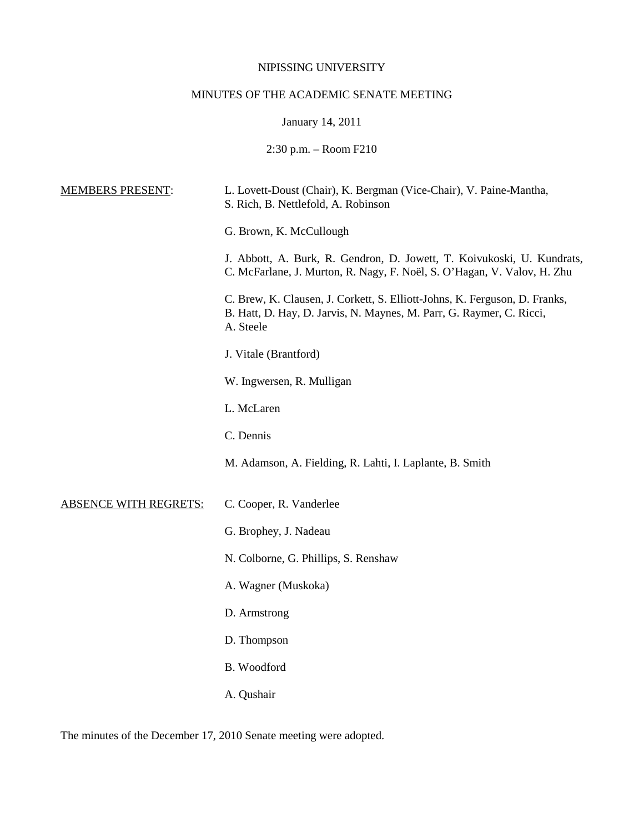## NIPISSING UNIVERSITY

# MINUTES OF THE ACADEMIC SENATE MEETING

January 14, 2011

2:30 p.m. – Room F210

| <b>MEMBERS PRESENT:</b>      | L. Lovett-Doust (Chair), K. Bergman (Vice-Chair), V. Paine-Mantha,<br>S. Rich, B. Nettlefold, A. Robinson                                                       |
|------------------------------|-----------------------------------------------------------------------------------------------------------------------------------------------------------------|
|                              | G. Brown, K. McCullough                                                                                                                                         |
|                              | J. Abbott, A. Burk, R. Gendron, D. Jowett, T. Koivukoski, U. Kundrats,<br>C. McFarlane, J. Murton, R. Nagy, F. Noël, S. O'Hagan, V. Valov, H. Zhu               |
|                              | C. Brew, K. Clausen, J. Corkett, S. Elliott-Johns, K. Ferguson, D. Franks,<br>B. Hatt, D. Hay, D. Jarvis, N. Maynes, M. Parr, G. Raymer, C. Ricci,<br>A. Steele |
|                              | J. Vitale (Brantford)                                                                                                                                           |
|                              | W. Ingwersen, R. Mulligan                                                                                                                                       |
|                              | L. McLaren                                                                                                                                                      |
|                              | C. Dennis                                                                                                                                                       |
|                              | M. Adamson, A. Fielding, R. Lahti, I. Laplante, B. Smith                                                                                                        |
| <b>ABSENCE WITH REGRETS:</b> | C. Cooper, R. Vanderlee                                                                                                                                         |
|                              | G. Brophey, J. Nadeau                                                                                                                                           |
|                              | N. Colborne, G. Phillips, S. Renshaw                                                                                                                            |
|                              | A. Wagner (Muskoka)                                                                                                                                             |
|                              | D. Armstrong                                                                                                                                                    |
|                              | D. Thompson                                                                                                                                                     |
|                              | B. Woodford                                                                                                                                                     |
|                              | A. Qushair                                                                                                                                                      |

The minutes of the December 17, 2010 Senate meeting were adopted.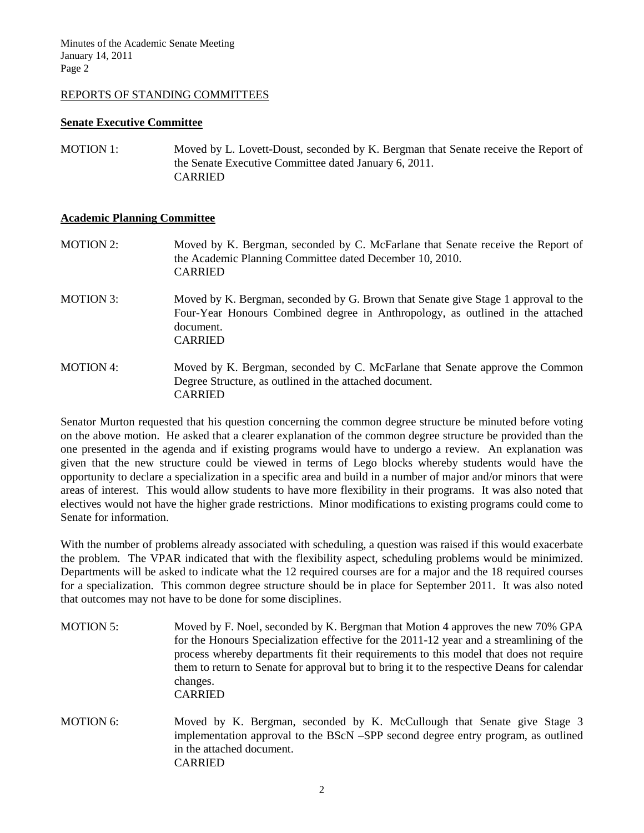## REPORTS OF STANDING COMMITTEES

#### **Senate Executive Committee**

MOTION 1: Moved by L. Lovett-Doust, seconded by K. Bergman that Senate receive the Report of the Senate Executive Committee dated January 6, 2011. CARRIED

### **Academic Planning Committee**

- MOTION 2: Moved by K. Bergman, seconded by C. McFarlane that Senate receive the Report of the Academic Planning Committee dated December 10, 2010. CARRIED
- MOTION 3: Moved by K. Bergman, seconded by G. Brown that Senate give Stage 1 approval to the Four-Year Honours Combined degree in Anthropology, as outlined in the attached document. CARRIED
- MOTION 4: Moved by K. Bergman, seconded by C. McFarlane that Senate approve the Common Degree Structure, as outlined in the attached document. CARRIED

Senator Murton requested that his question concerning the common degree structure be minuted before voting on the above motion. He asked that a clearer explanation of the common degree structure be provided than the one presented in the agenda and if existing programs would have to undergo a review. An explanation was given that the new structure could be viewed in terms of Lego blocks whereby students would have the opportunity to declare a specialization in a specific area and build in a number of major and/or minors that were areas of interest. This would allow students to have more flexibility in their programs. It was also noted that electives would not have the higher grade restrictions. Minor modifications to existing programs could come to Senate for information.

With the number of problems already associated with scheduling, a question was raised if this would exacerbate the problem. The VPAR indicated that with the flexibility aspect, scheduling problems would be minimized. Departments will be asked to indicate what the 12 required courses are for a major and the 18 required courses for a specialization. This common degree structure should be in place for September 2011. It was also noted that outcomes may not have to be done for some disciplines.

- MOTION 5: Moved by F. Noel, seconded by K. Bergman that Motion 4 approves the new 70% GPA for the Honours Specialization effective for the 2011-12 year and a streamlining of the process whereby departments fit their requirements to this model that does not require them to return to Senate for approval but to bring it to the respective Deans for calendar changes. CARRIED
- MOTION 6: Moved by K. Bergman, seconded by K. McCullough that Senate give Stage 3 implementation approval to the BScN –SPP second degree entry program, as outlined in the attached document. CARRIED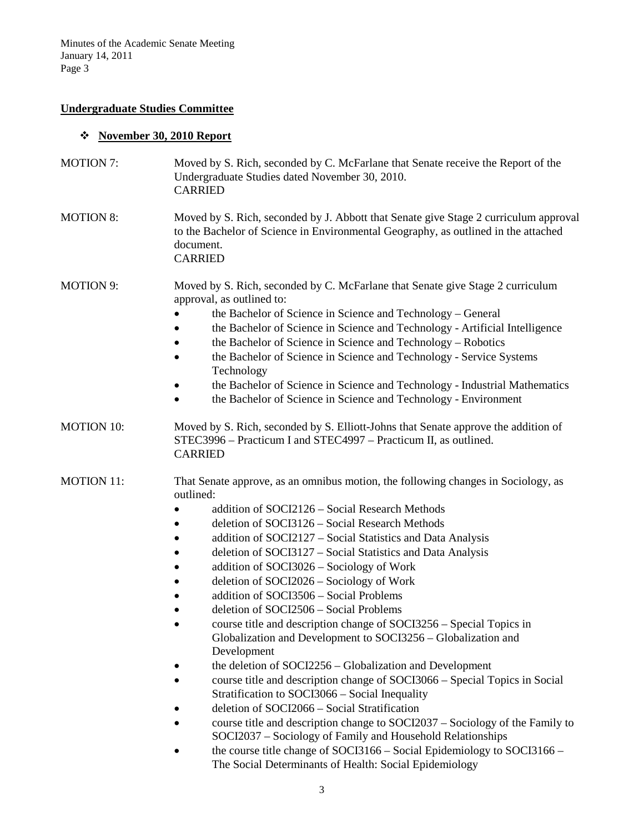## **Undergraduate Studies Committee**

# **November 30, 2010 Report**

| <b>MOTION 7:</b>  | Moved by S. Rich, seconded by C. McFarlane that Senate receive the Report of the<br>Undergraduate Studies dated November 30, 2010.<br><b>CARRIED</b>                                                                                                                                                                                                                                                                                                                                                                                                                                                                                                                                                                                                                                                                                                                                                                                                                                                                                                                                                                                                                                             |
|-------------------|--------------------------------------------------------------------------------------------------------------------------------------------------------------------------------------------------------------------------------------------------------------------------------------------------------------------------------------------------------------------------------------------------------------------------------------------------------------------------------------------------------------------------------------------------------------------------------------------------------------------------------------------------------------------------------------------------------------------------------------------------------------------------------------------------------------------------------------------------------------------------------------------------------------------------------------------------------------------------------------------------------------------------------------------------------------------------------------------------------------------------------------------------------------------------------------------------|
| <b>MOTION 8:</b>  | Moved by S. Rich, seconded by J. Abbott that Senate give Stage 2 curriculum approval<br>to the Bachelor of Science in Environmental Geography, as outlined in the attached<br>document.<br><b>CARRIED</b>                                                                                                                                                                                                                                                                                                                                                                                                                                                                                                                                                                                                                                                                                                                                                                                                                                                                                                                                                                                        |
| <b>MOTION 9:</b>  | Moved by S. Rich, seconded by C. McFarlane that Senate give Stage 2 curriculum<br>approval, as outlined to:<br>the Bachelor of Science in Science and Technology - General<br>the Bachelor of Science in Science and Technology - Artificial Intelligence<br>the Bachelor of Science in Science and Technology - Robotics<br>the Bachelor of Science in Science and Technology - Service Systems<br>Technology<br>the Bachelor of Science in Science and Technology - Industrial Mathematics<br>the Bachelor of Science in Science and Technology - Environment                                                                                                                                                                                                                                                                                                                                                                                                                                                                                                                                                                                                                                  |
| <b>MOTION 10:</b> | Moved by S. Rich, seconded by S. Elliott-Johns that Senate approve the addition of<br>STEC3996 - Practicum I and STEC4997 - Practicum II, as outlined.<br><b>CARRIED</b>                                                                                                                                                                                                                                                                                                                                                                                                                                                                                                                                                                                                                                                                                                                                                                                                                                                                                                                                                                                                                         |
| <b>MOTION 11:</b> | That Senate approve, as an omnibus motion, the following changes in Sociology, as<br>outlined:<br>addition of SOCI2126 - Social Research Methods<br>deletion of SOCI3126 - Social Research Methods<br>addition of SOCI2127 - Social Statistics and Data Analysis<br>deletion of SOCI3127 – Social Statistics and Data Analysis<br>addition of SOCI3026 - Sociology of Work<br>deletion of SOCI2026 - Sociology of Work<br>addition of SOCI3506 - Social Problems<br>deletion of SOCI2506 - Social Problems<br>course title and description change of SOCI3256 – Special Topics in<br>Globalization and Development to SOCI3256 - Globalization and<br>Development<br>the deletion of SOCI2256 - Globalization and Development<br>course title and description change of SOCI3066 – Special Topics in Social<br>Stratification to SOCI3066 - Social Inequality<br>deletion of SOCI2066 - Social Stratification<br>course title and description change to SOCI2037 – Sociology of the Family to<br>SOCI2037 - Sociology of Family and Household Relationships<br>the course title change of SOCI3166 - Social Epidemiology to SOCI3166 -<br>The Social Determinants of Health: Social Epidemiology |
|                   |                                                                                                                                                                                                                                                                                                                                                                                                                                                                                                                                                                                                                                                                                                                                                                                                                                                                                                                                                                                                                                                                                                                                                                                                  |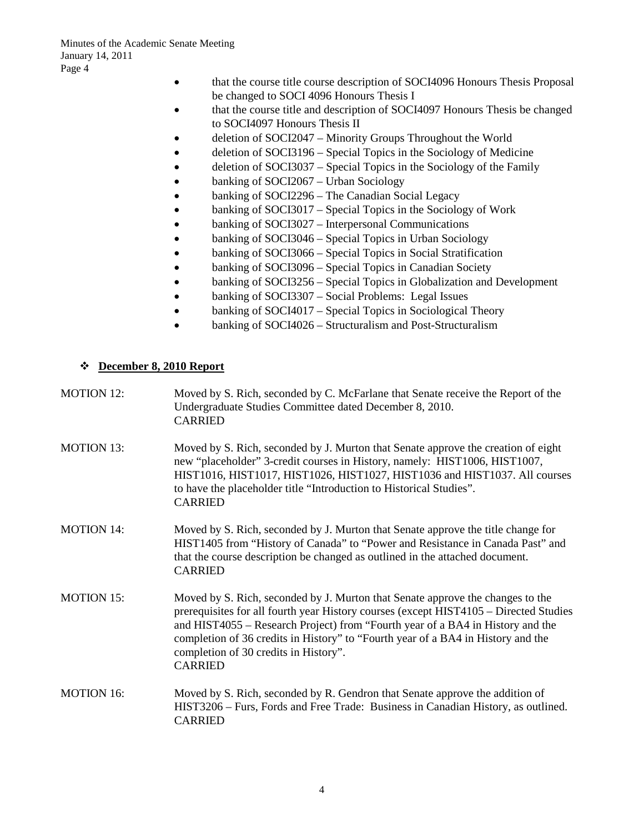- that the course title course description of SOCI4096 Honours Thesis Proposal be changed to SOCI 4096 Honours Thesis I
- that the course title and description of SOCI4097 Honours Thesis be changed to SOCI4097 Honours Thesis II
- deletion of SOCI2047 Minority Groups Throughout the World
- deletion of SOCI3196 Special Topics in the Sociology of Medicine
- deletion of SOCI3037 Special Topics in the Sociology of the Family
- banking of SOCI2067 Urban Sociology
- banking of SOCI2296 The Canadian Social Legacy
- banking of SOCI3017 Special Topics in the Sociology of Work
- banking of SOCI3027 Interpersonal Communications
- banking of SOCI3046 Special Topics in Urban Sociology
- banking of SOCI3066 Special Topics in Social Stratification
- banking of SOCI3096 Special Topics in Canadian Society
- banking of SOCI3256 Special Topics in Globalization and Development
- banking of SOCI3307 Social Problems: Legal Issues
- banking of SOCI4017 Special Topics in Sociological Theory
- banking of SOCI4026 Structuralism and Post-Structuralism

## **December 8, 2010 Report**

| <b>MOTION 12:</b> | Moved by S. Rich, seconded by C. McFarlane that Senate receive the Report of the<br>Undergraduate Studies Committee dated December 8, 2010.<br><b>CARRIED</b>                                                                                                                                                                          |
|-------------------|----------------------------------------------------------------------------------------------------------------------------------------------------------------------------------------------------------------------------------------------------------------------------------------------------------------------------------------|
| <b>MOTION 13:</b> | Moved by S. Rich, seconded by J. Murton that Senate approve the creation of eight<br>new "placeholder" 3-credit courses in History, namely: HIST1006, HIST1007,<br>HIST1016, HIST1017, HIST1026, HIST1027, HIST1036 and HIST1037. All courses<br>to have the placeholder title "Introduction to Historical Studies".<br><b>CARRIED</b> |
| <b>MOTION 14:</b> | Moved by S. Rich, seconded by J. Murton that Senate approve the title change for<br>HIST1405 from "History of Canada" to "Power and Resistance in Canada Past" and<br>that the course description be changed as outlined in the attached document.<br><b>CARRIED</b>                                                                   |

- MOTION 15: Moved by S. Rich, seconded by J. Murton that Senate approve the changes to the prerequisites for all fourth year History courses (except HIST4105 – Directed Studies and HIST4055 – Research Project) from "Fourth year of a BA4 in History and the completion of 36 credits in History" to "Fourth year of a BA4 in History and the completion of 30 credits in History". CARRIED
- MOTION 16: Moved by S. Rich, seconded by R. Gendron that Senate approve the addition of HIST3206 – Furs, Fords and Free Trade: Business in Canadian History, as outlined. CARRIED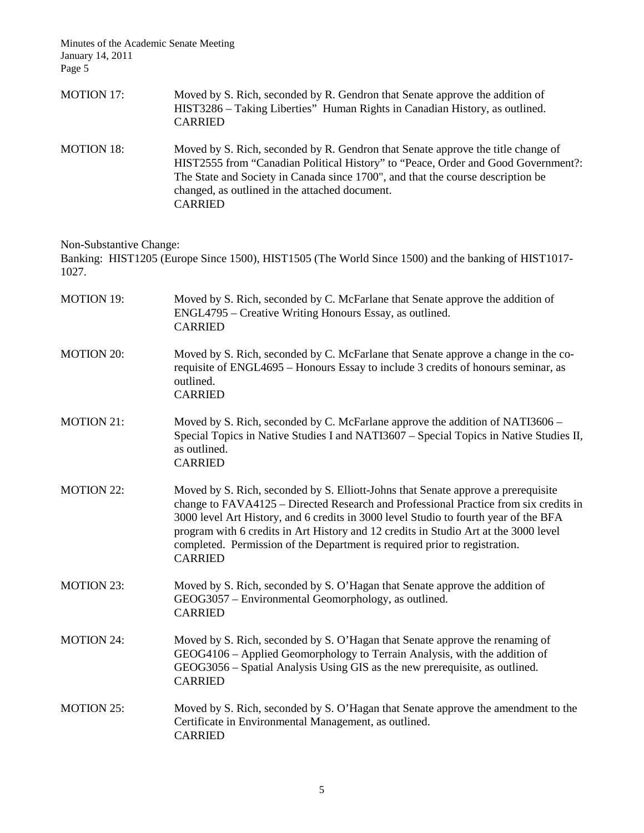| <b>MOTION 17:</b> | Moved by S. Rich, seconded by R. Gendron that Senate approve the addition of<br>HIST3286 - Taking Liberties" Human Rights in Canadian History, as outlined.<br><b>CARRIED</b>                                                                                                                                                |
|-------------------|------------------------------------------------------------------------------------------------------------------------------------------------------------------------------------------------------------------------------------------------------------------------------------------------------------------------------|
| <b>MOTION 18:</b> | Moved by S. Rich, seconded by R. Gendron that Senate approve the title change of<br>HIST2555 from "Canadian Political History" to "Peace, Order and Good Government?:<br>The State and Society in Canada since 1700", and that the course description be<br>changed, as outlined in the attached document.<br><b>CARRIED</b> |

Non-Substantive Change:

Banking: HIST1205 (Europe Since 1500), HIST1505 (The World Since 1500) and the banking of HIST1017- 1027.

| <b>MOTION 19:</b> | Moved by S. Rich, seconded by C. McFarlane that Senate approve the addition of<br>ENGL4795 – Creative Writing Honours Essay, as outlined.<br><b>CARRIED</b>                                                                                                                                                                                                                                                                                               |
|-------------------|-----------------------------------------------------------------------------------------------------------------------------------------------------------------------------------------------------------------------------------------------------------------------------------------------------------------------------------------------------------------------------------------------------------------------------------------------------------|
| <b>MOTION 20:</b> | Moved by S. Rich, seconded by C. McFarlane that Senate approve a change in the co-<br>requisite of ENGL4695 – Honours Essay to include 3 credits of honours seminar, as<br>outlined.<br><b>CARRIED</b>                                                                                                                                                                                                                                                    |
| <b>MOTION 21:</b> | Moved by S. Rich, seconded by C. McFarlane approve the addition of NATI3606 –<br>Special Topics in Native Studies I and NATI3607 – Special Topics in Native Studies II,<br>as outlined.<br><b>CARRIED</b>                                                                                                                                                                                                                                                 |
| <b>MOTION 22:</b> | Moved by S. Rich, seconded by S. Elliott-Johns that Senate approve a prerequisite<br>change to FAVA4125 – Directed Research and Professional Practice from six credits in<br>3000 level Art History, and 6 credits in 3000 level Studio to fourth year of the BFA<br>program with 6 credits in Art History and 12 credits in Studio Art at the 3000 level<br>completed. Permission of the Department is required prior to registration.<br><b>CARRIED</b> |
| <b>MOTION 23:</b> | Moved by S. Rich, seconded by S. O'Hagan that Senate approve the addition of<br>GEOG3057 – Environmental Geomorphology, as outlined.<br><b>CARRIED</b>                                                                                                                                                                                                                                                                                                    |
| <b>MOTION 24:</b> | Moved by S. Rich, seconded by S. O'Hagan that Senate approve the renaming of<br>GEOG4106 - Applied Geomorphology to Terrain Analysis, with the addition of<br>GEOG3056 - Spatial Analysis Using GIS as the new prerequisite, as outlined.<br><b>CARRIED</b>                                                                                                                                                                                               |
| <b>MOTION 25:</b> | Moved by S. Rich, seconded by S. O'Hagan that Senate approve the amendment to the<br>Certificate in Environmental Management, as outlined.<br><b>CARRIED</b>                                                                                                                                                                                                                                                                                              |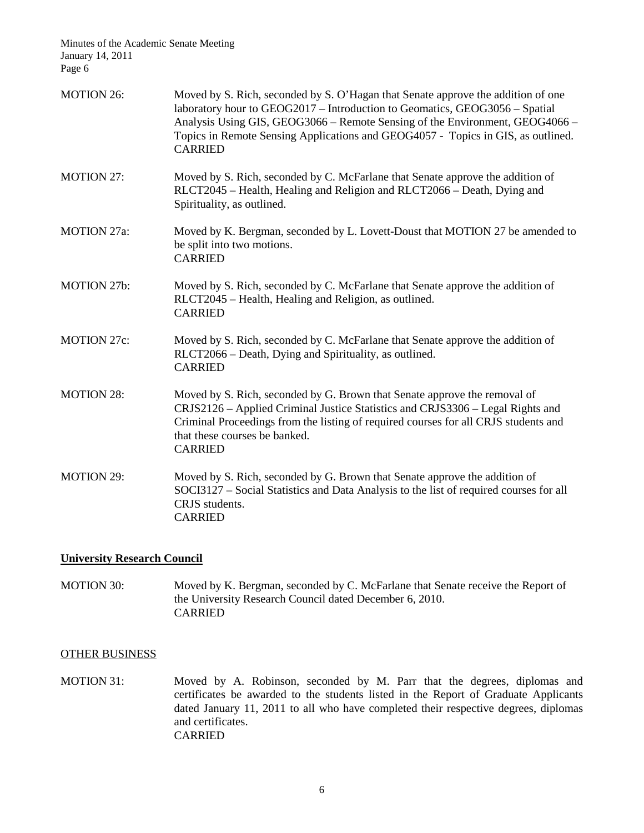| <b>MOTION 26:</b>  | Moved by S. Rich, seconded by S. O'Hagan that Senate approve the addition of one<br>laboratory hour to GEOG2017 - Introduction to Geomatics, GEOG3056 - Spatial<br>Analysis Using GIS, GEOG3066 - Remote Sensing of the Environment, GEOG4066 -<br>Topics in Remote Sensing Applications and GEOG4057 - Topics in GIS, as outlined.<br><b>CARRIED</b> |
|--------------------|-------------------------------------------------------------------------------------------------------------------------------------------------------------------------------------------------------------------------------------------------------------------------------------------------------------------------------------------------------|
| <b>MOTION 27:</b>  | Moved by S. Rich, seconded by C. McFarlane that Senate approve the addition of<br>RLCT2045 - Health, Healing and Religion and RLCT2066 - Death, Dying and<br>Spirituality, as outlined.                                                                                                                                                               |
| <b>MOTION 27a:</b> | Moved by K. Bergman, seconded by L. Lovett-Doust that MOTION 27 be amended to<br>be split into two motions.<br><b>CARRIED</b>                                                                                                                                                                                                                         |
| <b>MOTION 27b:</b> | Moved by S. Rich, seconded by C. McFarlane that Senate approve the addition of<br>RLCT2045 – Health, Healing and Religion, as outlined.<br><b>CARRIED</b>                                                                                                                                                                                             |
| <b>MOTION 27c:</b> | Moved by S. Rich, seconded by C. McFarlane that Senate approve the addition of<br>RLCT2066 – Death, Dying and Spirituality, as outlined.<br><b>CARRIED</b>                                                                                                                                                                                            |
| <b>MOTION 28:</b>  | Moved by S. Rich, seconded by G. Brown that Senate approve the removal of<br>CRJS2126 - Applied Criminal Justice Statistics and CRJS3306 - Legal Rights and<br>Criminal Proceedings from the listing of required courses for all CRJS students and<br>that these courses be banked.<br><b>CARRIED</b>                                                 |
| <b>MOTION 29:</b>  | Moved by S. Rich, seconded by G. Brown that Senate approve the addition of<br>SOCI3127 – Social Statistics and Data Analysis to the list of required courses for all<br>CRJS students.<br><b>CARRIED</b>                                                                                                                                              |

## **University Research Council**

MOTION 30: Moved by K. Bergman, seconded by C. McFarlane that Senate receive the Report of the University Research Council dated December 6, 2010. CARRIED

#### OTHER BUSINESS

MOTION 31: Moved by A. Robinson, seconded by M. Parr that the degrees, diplomas and certificates be awarded to the students listed in the Report of Graduate Applicants dated January 11, 2011 to all who have completed their respective degrees, diplomas and certificates. CARRIED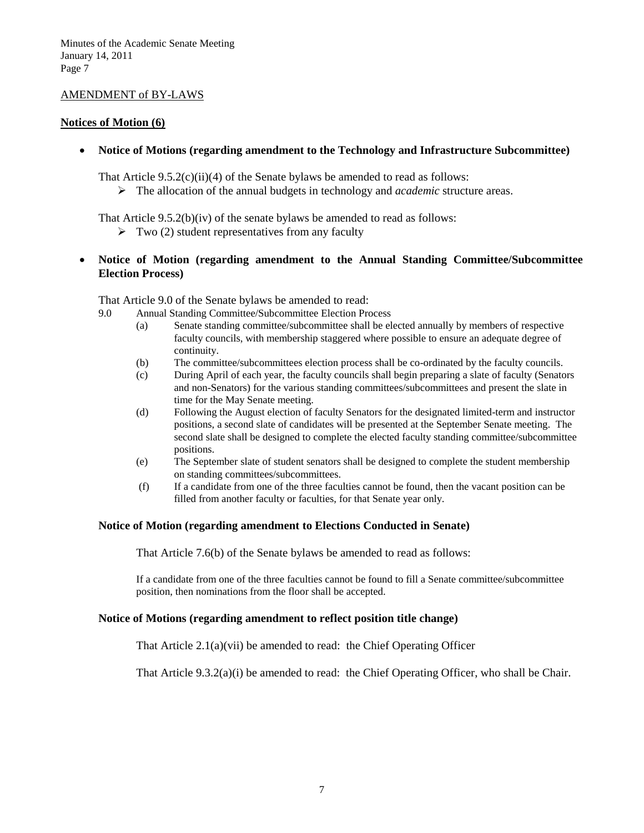## AMENDMENT of BY-LAWS

#### **Notices of Motion (6)**

• **Notice of Motions (regarding amendment to the Technology and Infrastructure Subcommittee)**

That Article  $9.5.2(c)(ii)(4)$  of the Senate bylaws be amended to read as follows:

The allocation of the annual budgets in technology and *academic* structure areas.

That Article 9.5.2(b)(iv) of the senate bylaws be amended to read as follows:

- $\triangleright$  Two (2) student representatives from any faculty
- **Notice of Motion (regarding amendment to the Annual Standing Committee/Subcommittee Election Process)**

That Article 9.0 of the Senate bylaws be amended to read:

- 9.0 Annual Standing Committee/Subcommittee Election Process
	- (a) Senate standing committee/subcommittee shall be elected annually by members of respective faculty councils, with membership staggered where possible to ensure an adequate degree of continuity.
	- (b) The committee/subcommittees election process shall be co-ordinated by the faculty councils.
	- (c) During April of each year, the faculty councils shall begin preparing a slate of faculty (Senators and non-Senators) for the various standing committees/subcommittees and present the slate in time for the May Senate meeting.
	- (d) Following the August election of faculty Senators for the designated limited-term and instructor positions, a second slate of candidates will be presented at the September Senate meeting. The second slate shall be designed to complete the elected faculty standing committee/subcommittee positions.
	- (e) The September slate of student senators shall be designed to complete the student membership on standing committees/subcommittees.
	- (f) If a candidate from one of the three faculties cannot be found, then the vacant position can be filled from another faculty or faculties, for that Senate year only.

#### **Notice of Motion (regarding amendment to Elections Conducted in Senate)**

That Article 7.6(b) of the Senate bylaws be amended to read as follows:

If a candidate from one of the three faculties cannot be found to fill a Senate committee/subcommittee position, then nominations from the floor shall be accepted.

### **Notice of Motions (regarding amendment to reflect position title change)**

That Article 2.1(a)(vii) be amended to read: the Chief Operating Officer

That Article 9.3.2(a)(i) be amended to read: the Chief Operating Officer, who shall be Chair.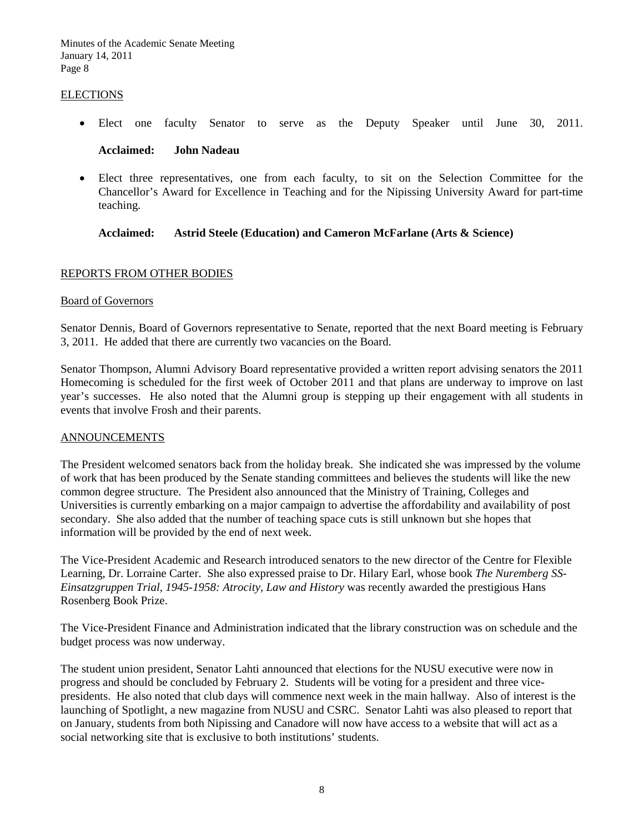#### ELECTIONS

• Elect one faculty Senator to serve as the Deputy Speaker until June 30, 2011.

**Acclaimed: John Nadeau**

• Elect three representatives, one from each faculty, to sit on the Selection Committee for the Chancellor's Award for Excellence in Teaching and for the Nipissing University Award for part-time teaching.

## **Acclaimed: Astrid Steele (Education) and Cameron McFarlane (Arts & Science)**

### REPORTS FROM OTHER BODIES

## Board of Governors

Senator Dennis, Board of Governors representative to Senate, reported that the next Board meeting is February 3, 2011. He added that there are currently two vacancies on the Board.

Senator Thompson, Alumni Advisory Board representative provided a written report advising senators the 2011 Homecoming is scheduled for the first week of October 2011 and that plans are underway to improve on last year's successes. He also noted that the Alumni group is stepping up their engagement with all students in events that involve Frosh and their parents.

#### ANNOUNCEMENTS

The President welcomed senators back from the holiday break. She indicated she was impressed by the volume of work that has been produced by the Senate standing committees and believes the students will like the new common degree structure. The President also announced that the Ministry of Training, Colleges and Universities is currently embarking on a major campaign to advertise the affordability and availability of post secondary. She also added that the number of teaching space cuts is still unknown but she hopes that information will be provided by the end of next week.

The Vice-President Academic and Research introduced senators to the new director of the Centre for Flexible Learning, Dr. Lorraine Carter. She also expressed praise to Dr. Hilary Earl, whose book *The Nuremberg SS-Einsatzgruppen Trial, 1945-1958: Atrocity, Law and History* was recently awarded the prestigious Hans Rosenberg Book Prize.

The Vice-President Finance and Administration indicated that the library construction was on schedule and the budget process was now underway.

The student union president, Senator Lahti announced that elections for the NUSU executive were now in progress and should be concluded by February 2. Students will be voting for a president and three vicepresidents. He also noted that club days will commence next week in the main hallway. Also of interest is the launching of Spotlight, a new magazine from NUSU and CSRC. Senator Lahti was also pleased to report that on January, students from both Nipissing and Canadore will now have access to a website that will act as a social networking site that is exclusive to both institutions' students.